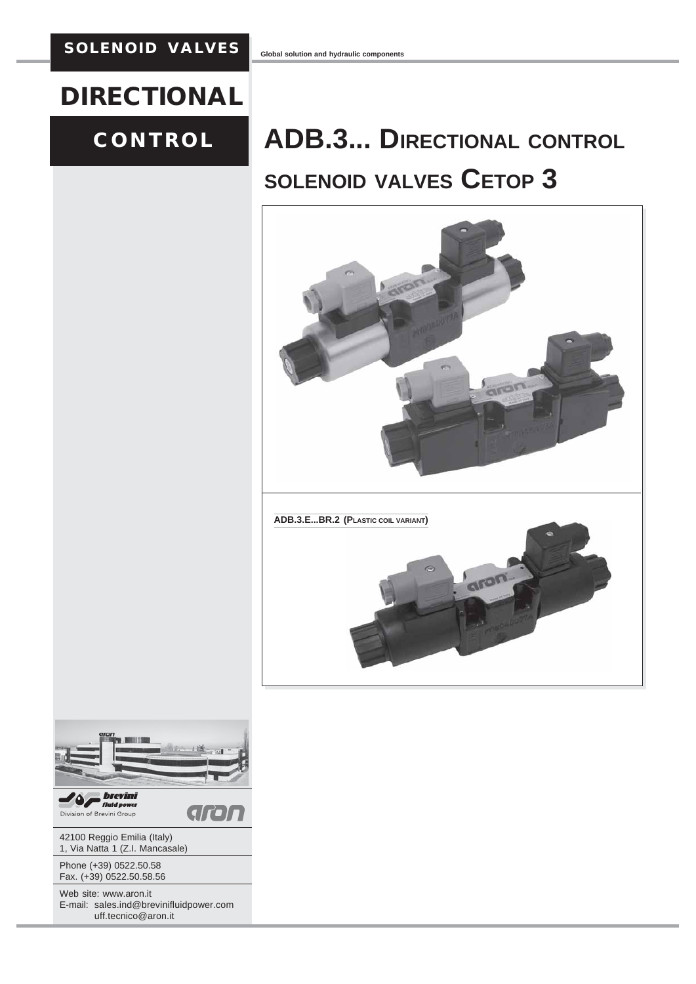# **DIRECTIONAL**

# **CONTROL**

# **ADB.3... DIRECTIONAL CONTROL SOLENOID VALVES CETOP 3**



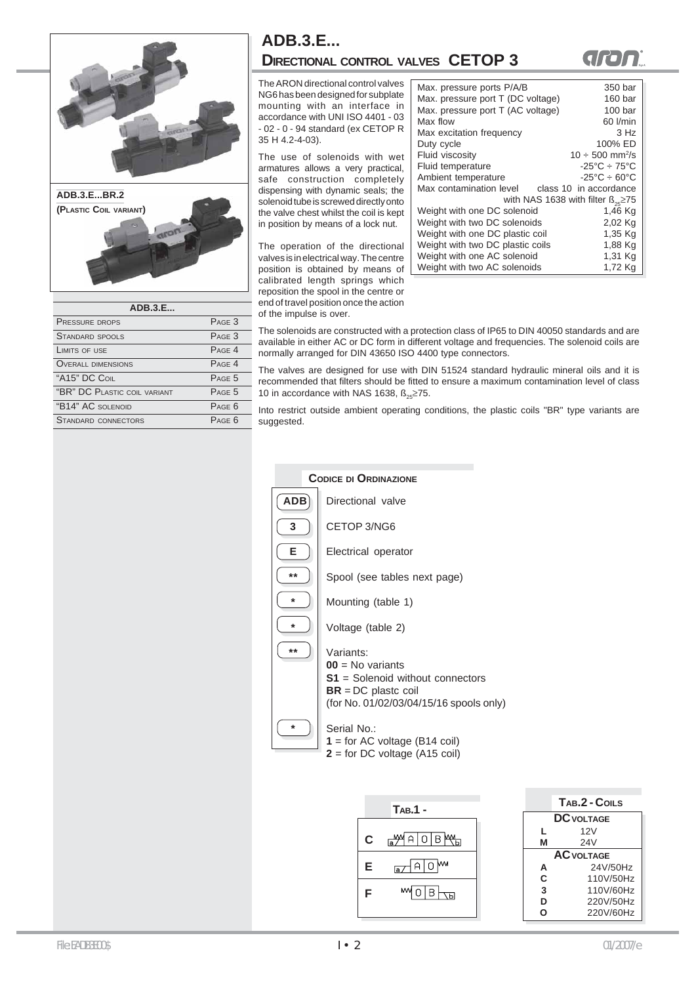

| ADB.3.E                      |             |  |
|------------------------------|-------------|--|
| <b>PRESSURE DROPS</b>        | $P_{AGF}$ 3 |  |
| STANDARD SPOOLS              | PAGE 3      |  |
| LIMITS OF USE                | $P_{AGF}$ 4 |  |
| <b>OVERALL DIMENSIONS</b>    | $P_{AGF}$ 4 |  |
| "A15" DC COIL                | $P_{AGF}$ 5 |  |
| "BR" DC PLASTIC COIL VARIANT | $P_{AGF}$ 5 |  |
| "B14" AC SOLENOID            | $P_{AGF}$ 6 |  |
| STANDARD CONNECTORS          | $P_{AGF}$ 6 |  |
|                              |             |  |

### **ADB.3.E... DIRECTIONAL CONTROL VALVES CETOP 3**

The ARON directional control valves NG6 has been designed for subplate mounting with an interface in accordance with UNI ISO 4401 - 03 - 02 - 0 - 94 standard (ex CETOP R 35 H 4.2-4-03).

The use of solenoids with wet armatures allows a very practical, safe construction completely dispensing with dynamic seals; the solenoid tube is screwed directly onto the valve chest whilst the coil is kept in position by means of a lock nut.

The operation of the directional valves is in electrical way. The centre position is obtained by means of calibrated length springs which reposition the spool in the centre or end of travel position once the action of the impulse is over.

| Max. pressure ports P/A/B         | 350 bar                                       |
|-----------------------------------|-----------------------------------------------|
| Max. pressure port T (DC voltage) | 160 bar                                       |
| Max. pressure port T (AC voltage) | 100 <sub>bar</sub>                            |
| Max flow                          | 60 l/min                                      |
|                                   |                                               |
| Max excitation frequency          | 3 Hz                                          |
| Duty cycle                        | 100% ED                                       |
| Fluid viscosity                   | $10 \div 500$ mm <sup>2</sup> /s              |
| Fluid temperature                 | $-25^{\circ}$ C $-75^{\circ}$ C               |
| Ambient temperature               | $-25^{\circ}$ C $-60^{\circ}$ C               |
| Max contamination level           | class 10 in accordance                        |
|                                   | with NAS 1638 with filter $\beta_{25} \ge 75$ |
| Weight with one DC solenoid       | 1,46 Kg                                       |
| Weight with two DC solenoids      | 2,02 Kg                                       |
| Weight with one DC plastic coil   | 1,35 Kg                                       |
| Weight with two DC plastic coils  | 1,88 Kg                                       |
| Weight with one AC solenoid       | 1,31 Kg                                       |
| Weight with two AC solenoids      | 1,72 Kg                                       |

grant

The solenoids are constructed with a protection class of IP65 to DIN 40050 standards and are available in either AC or DC form in different voltage and frequencies. The solenoid coils are normally arranged for DIN 43650 ISO 4400 type connectors.

The valves are designed for use with DIN 51524 standard hydraulic mineral oils and it is recommended that filters should be fitted to ensure a maximum contamination level of class 10 in accordance with NAS 1638,  $\beta_{0.5} \ge 75$ .

Into restrict outside ambient operating conditions, the plastic coils "BR" type variants are suggested.



| T <sub>AB</sub> .1 - |   | TAB.2 - COILS     |
|----------------------|---|-------------------|
|                      |   | <b>DC</b> VOLTAGE |
|                      |   | 12V               |
|                      | М | 24 <sub>V</sub>   |
|                      |   | <b>AC VOLTAGE</b> |
| MМ                   | А | 24V/50Hz          |
|                      | C | 110V/50Hz         |
| M٨                   | 3 | 110V/60Hz         |
|                      | D | 220V/50Hz         |
|                      |   | 220V/60Hz         |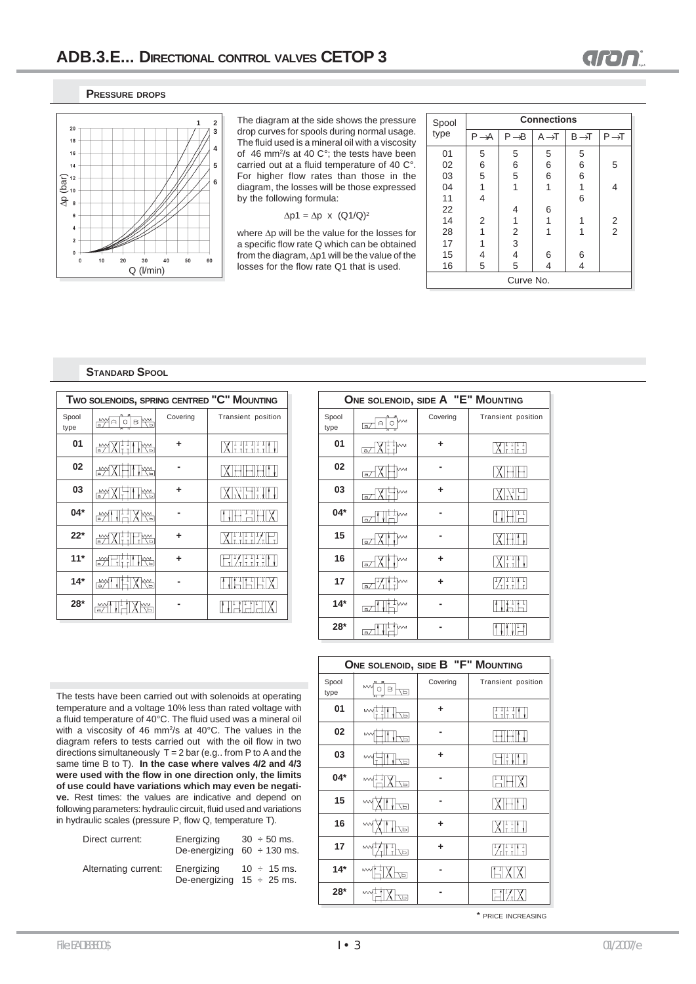### **PRESSURE DROPS**



The diagram at the side shows the pressure drop curves for spools during normal usage. The fluid used is a mineral oil with a viscosity of 46 mm2 /s at 40 C°; the tests have been carried out at a fluid temperature of 40 C°. For higher flow rates than those in the diagram, the losses will be those expressed by the following formula:

 $\Delta p1 = \Delta p \times (Q1/Q)^2$ 

where Δp will be the value for the losses for a specific flow rate Q which can be obtained from the diagram, Δp1 will be the value of the losses for the flow rate Q1 that is used.

| Spool     | <b>Connections</b> |                                            |                   |                   |                   |
|-----------|--------------------|--------------------------------------------|-------------------|-------------------|-------------------|
| type      | $P \rightarrow A$  | $P \rightarrow B$                          | $A \rightarrow T$ | $B \rightarrow T$ | $P \rightarrow T$ |
| 01        | 5                  | 5                                          | 5                 | 5                 |                   |
| 02        | 6<br>5             | 6<br>5                                     | 6                 | 6                 | 5                 |
| 03        |                    |                                            | 6                 | 6                 |                   |
| 04        | 1                  | 1                                          | 1                 | 1                 | 4                 |
| 11        | $\overline{4}$     |                                            |                   | 6                 |                   |
| 22        |                    | 4                                          | 6                 |                   |                   |
| 14        | $\overline{2}$     | 1                                          | 1                 |                   | $\frac{2}{2}$     |
| 28        | 1                  |                                            | 1                 | 1                 |                   |
| 17        | 1                  | $\begin{array}{c} 2 \\ 3 \\ 4 \end{array}$ |                   |                   |                   |
| 15        | 4                  |                                            | 6                 | 6                 |                   |
| 16        | 5                  | 5                                          | 4                 | 4                 |                   |
| Curve No. |                    |                                            |                   |                   |                   |

### **STANDARD SPOOL**

| TWO SOLENOIDS, SPRING CENTRED "C" MOUNTING |                                |          |                    |
|--------------------------------------------|--------------------------------|----------|--------------------|
| Spool<br>type                              | na≫∏⊟<br><b>B</b><br>$\circ$   | Covering | Transient position |
| 01                                         | $\stackrel{\text{MW}}{=}$<br>₩ |          | <b>XETTERE</b>     |
| 02                                         | ₩<br>$\frac{M\lambda}{\ln 2}$  |          |                    |
| 03                                         | ₩<br>F <sup>M</sup>            | ٠        |                    |
| $04*$                                      | <u>IHXK.</u><br>$\mathbb{M}$   |          | 븱                  |
| $22*$                                      | ₩<br><u>im</u>                 |          | XHHZE              |
| $11*$                                      | 개개<br>∙₩<br>₩                  | ٠        | WET                |
| $14*$                                      | ₩<br>₩                         |          | r<br>1<br>채        |
| $28*$                                      | ₩                              |          |                    |

|               | ONE SOLENOID, SIDE A "E" MOUNTING           |          |                    |  |  |
|---------------|---------------------------------------------|----------|--------------------|--|--|
| Spool<br>type | $\triangle$<br>O<br>$\overline{a}$          | Covering | Transient position |  |  |
| 01            | $T_{\text{m}}$<br>$\overline{a}$            | ٠        | XHH                |  |  |
| 02            | a,                                          |          |                    |  |  |
| 03            | $\overline{a}$                              | ٠        | XNF                |  |  |
| 04*           | ™-<br>a/                                    |          | 冊田                 |  |  |
| 15            | $\lceil a \rceil$                           |          |                    |  |  |
| 16            | $\overline{a}$                              | ٠        | XH                 |  |  |
| 17            | TM <sub>1</sub><br>$\overline{\mathsf{a}/}$ | ٠        | MH                 |  |  |
| $14*$         | $\overline{a}$                              |          |                    |  |  |
| 28*           | a/                                          |          |                    |  |  |

The tests have been carried out with solenoids at operating temperature and a voltage 10% less than rated voltage with a fluid temperature of 40°C. The fluid used was a mineral oil with a viscosity of 46 mm<sup>2</sup>/s at 40°C. The values in the diagram refers to tests carried out with the oil flow in two directions simultaneously  $T = 2$  bar (e.g.. from P to A and the same time B to T). **In the case where valves 4/2 and 4/3 were used with the flow in one direction only, the limits of use could have variations which may even be negative.** Rest times: the values are indicative and depend on following parameters: hydraulic circuit, fluid used and variations in hydraulic scales (pressure P, flow Q, temperature T).

| Direct current:      | Energizing<br>De-energizing $60 \div 130$ ms. | $30 \div 50$ ms. |
|----------------------|-----------------------------------------------|------------------|
| Alternating current: | Energizing<br>De-energizing $15 \div 25$ ms.  | $10 \div 15$ ms. |

| ONE SOLENOID, SIDE B "F" MOUNTING |                         |          |                    |
|-----------------------------------|-------------------------|----------|--------------------|
| Spool<br>type                     | <b>MV</b><br>в<br>ᆔ     | Covering | Transient position |
| 01                                | $M_{\tau}^{\perp}$<br>同 | ÷        | HHI                |
| 02                                | <b>MV</b><br>日/         |          |                    |
| 03                                | MV.<br>ŌЙ               | ÷        | Fil                |
| 04*                               | w<br>靣                  |          | 끔F                 |
| 15                                | 묘                       |          |                    |
| 16                                | М<br>$\overline{A}$     | ٠        | XIII               |
| 17                                | <b>MV</b><br>ĀР         | ٠        | WETH               |
| $14*$                             | 靣                       |          |                    |
| $28*$                             |                         |          |                    |

\* PRICE INCREASING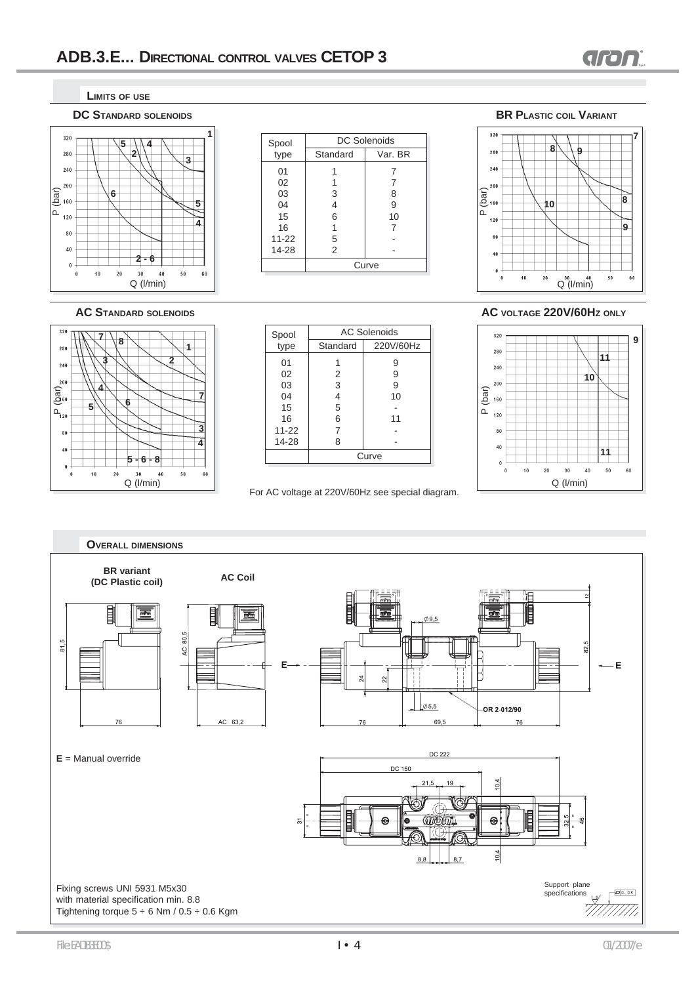

**LIMITS OF USE**





|               | <b>DC Solenoids</b> |         |  |
|---------------|---------------------|---------|--|
| Spool<br>type | Standard            | Var. BR |  |
| 01            |                     |         |  |
| 02            |                     |         |  |
| 03            | 3                   | 8       |  |
| 04            | 4                   | 9       |  |
| 15            | 6                   | 10      |  |
| 16            |                     |         |  |
| $11 - 22$     | 5                   |         |  |
| 14-28         | 2                   |         |  |
|               | Curve               |         |  |

**BR PLASTIC COIL VARIANT**





| Spool     | <b>AC Solenoids</b> |           |  |
|-----------|---------------------|-----------|--|
| type      | Standard            | 220V/60Hz |  |
| 01        |                     | 9         |  |
| 02        | 2                   | 9         |  |
| 03        | 3                   | 9         |  |
| 04        | 4                   | 10        |  |
| 15        | 5                   |           |  |
| 16        | 6                   | 11        |  |
| $11 - 22$ | 7                   |           |  |
| 14-28     | 8                   |           |  |
|           | Curve               |           |  |

For AC voltage at 220V/60Hz see special diagram.

### **AC STANDARD SOLENOIDS AC VOLTAGE 220V/60HZ ONLY**



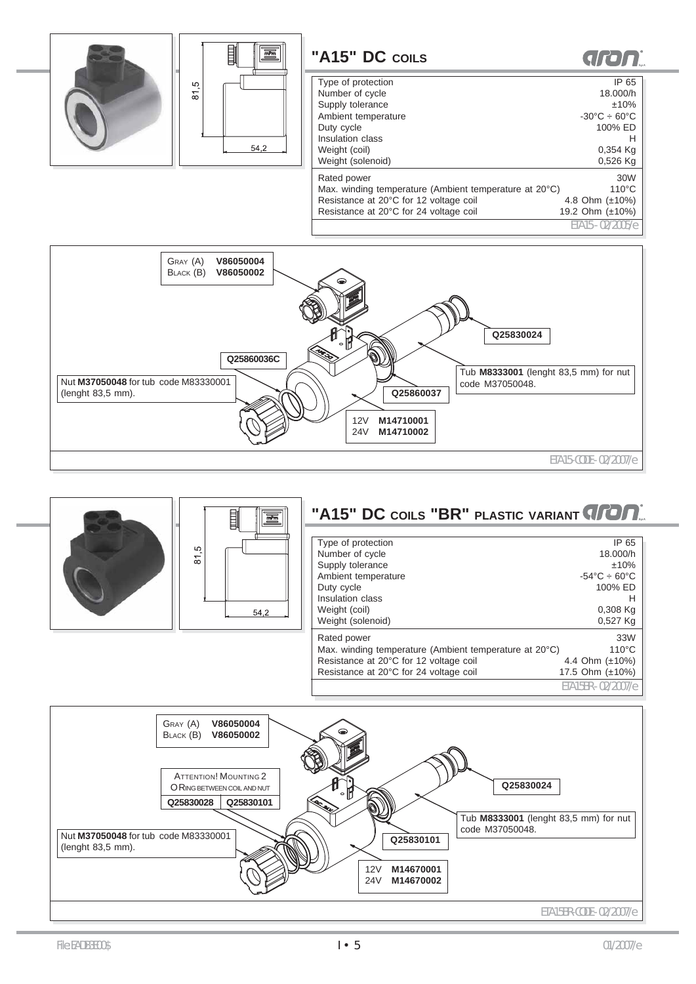



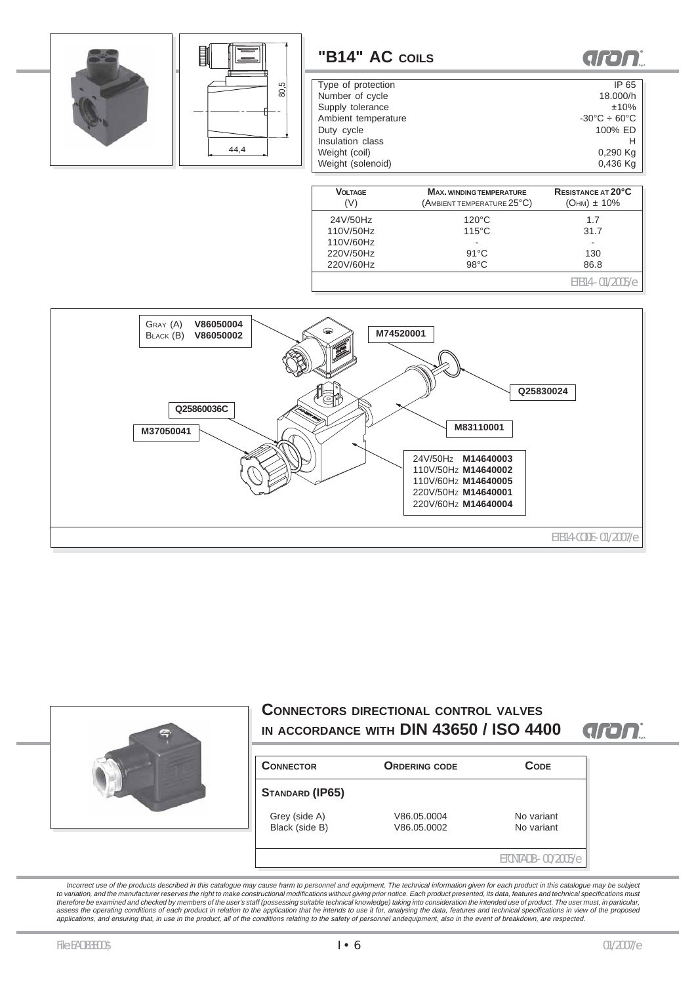



Incorrect use of the products described in this catalogue may cause harm to personnel and equipment. The technical information given for each product in this catalogue may be subject to variation, and the manufacturer reserves the right to make constructional modifications without giving prior notice. Each product presented, its data, features and technical specifications must<br>therefore be examined and assess the operating conditions of each product in relation to the application that he intends to use it for, analysing the data, features and technical specifications in view of the proposed<br>applications, and ensuring tha